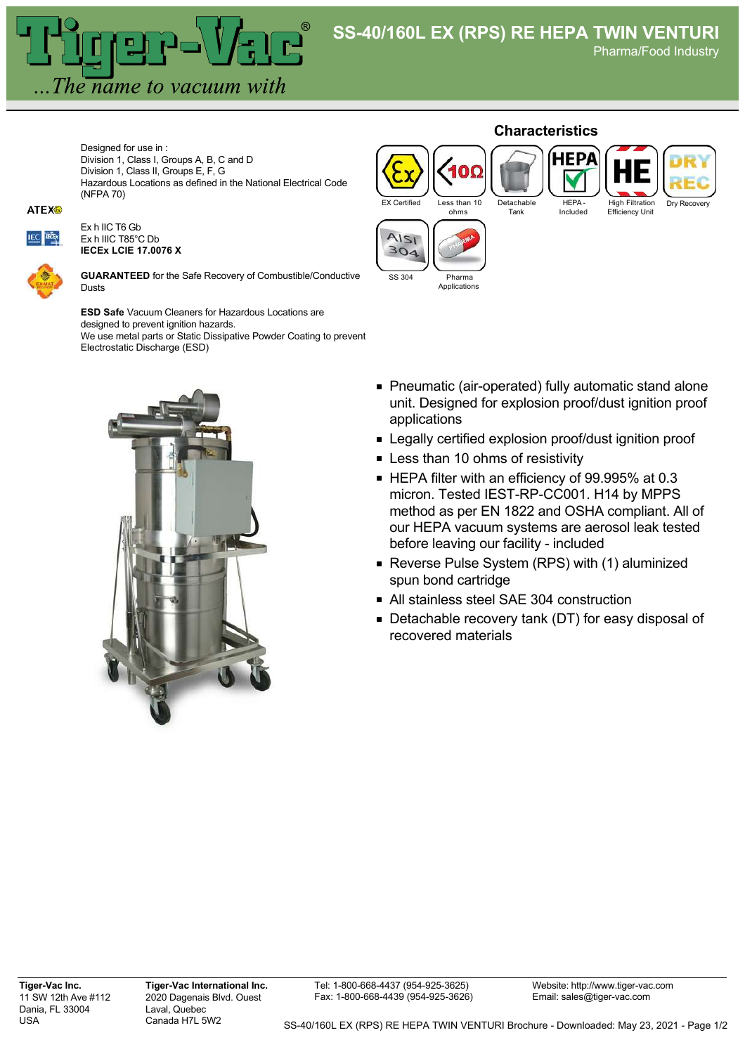Pharma/Food Industry

Designed for use in : Division 1, Class I, Groups A, B, C and D Division 1, Class II, Groups E, F, G Hazardous Locations as defined in the National Electrical Code (NFPA 70)

## **ATEX®**



Ex h IIC T6 Gb Ex h IIIC T85°C Db **IECEx LCIE 17.0076 X**



**GUARANTEED** for the Safe Recovery of Combustible/Conductive Dusts

The name to vacuum with

**ESD Safe** Vacuum Cleaners for Hazardous Locations are designed to prevent ignition hazards. We use metal parts or Static Dissipative Powder Coating to prevent Electrostatic Discharge (ESD)



## **Characteristics** НЕРА High Filtration  $\overline{C}$  Certified Less than 10 Detachable HEPA - Dry Recover ohms Tank Included Efficiency Unit  $1151$  $304$ SS 304 Pharma **Applications**

- Pneumatic (air-operated) fully automatic stand alone unit. Designed for explosion proof/dust ignition proof applications
- **Example 2** Legally certified explosion proof/dust ignition proof
- **Less than 10 ohms of resistivity**
- HEPA filter with an efficiency of 99.995% at 0.3 micron. Tested IEST-RP-CC001. H14 by MPPS method as per EN 1822 and OSHA compliant. All of our HEPA vacuum systems are aerosol leak tested before leaving our facility - included
- Reverse Pulse System (RPS) with (1) aluminized spun bond cartridge
- All stainless steel SAE 304 construction
- Detachable recovery tank (DT) for easy disposal of recovered materials

**Tiger-Vac Inc.** 11 SW 12th Ave #112 Dania, FL 33004 USA

**Tiger-Vac International Inc.** 2020 Dagenais Blvd. Ouest Laval, Quebec Canada H7L 5W2

Tel: 1-800-668-4437 (954-925-3625) Fax: 1-800-668-4439 (954-925-3626)

Website: http://www.tiger-vac.com Email: sales@tiger-vac.com